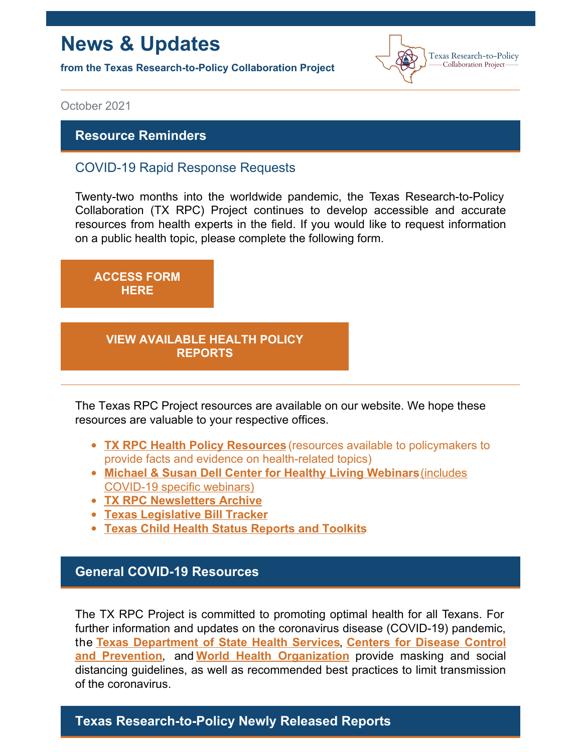# **News & Updates**

**from the Texas Research-to-Policy Collaboration Project**



October 2021

#### **Resource Reminders**

#### COVID-19 Rapid Response Requests

Twenty-two months into the worldwide pandemic, the Texas Research-to-Policy Collaboration (TX RPC) Project continues to develop accessible and accurate resources from health experts in the field. If you would like to request information on a public health topic, please complete the following form.

**[ACCESS](https://docs.google.com/forms/u/2/d/1Wugxw_5Z2snWP5rEmX4N88dLKRnqrsAPYug_bCWMdCo/viewform?edit_requested=true) FORM HERE**

#### **VIEW [AVAILABLE](https://sph.uth.edu/research/centers/dell/legislative-initiatives/texas-rpc-resources) HEALTH POLICY REPORTS**

The Texas RPC Project resources are available on our website. We hope these resources are valuable to your respective offices.

- **TX RPC Health Policy [Resources](https://sph.uth.edu/research/centers/dell/legislative-initiatives/texas-rpc-resources)** (resources available to policymakers to provide facts and evidence on health-related topics)
- **Michael & Susan Dell Center for Healthy Living [Webinars](https://sph.uth.edu/research/centers/dell/webinars/)**(includes COVID-19 specific webinars)
- **TX RPC [Newsletters](https://sph.uth.edu/research/centers/dell/legislative-initiatives/rpc-newsletters) Archive**
- **Texas [Legislative](https://sph.uth.edu/research/centers/dell/87th-texas-legislative-session/index.htm) Bill Tracker**
- **Texas Child Health Status [Reports](https://sph.uth.edu/research/centers/dell/texas-child-health-status-report/index.htm) and Toolkits**

## **General COVID-19 Resources**

The TX RPC Project is committed to promoting optimal health for all Texans. For further information and updates on the coronavirus disease (COVID-19) pandemic, the **Texas [Department](https://dshs.texas.gov/coronavirus/) of State Health Services**, **Centers for Disease Control and Prevention**, and **World Health [Organization](https://www.cdc.gov/coronavirus/2019-ncov/index.html)** provide masking and social distancing guidelines, as well as recommended best practices to limit transmission of the coronavirus.

## **Texas Research-to-Policy Newly Released Reports**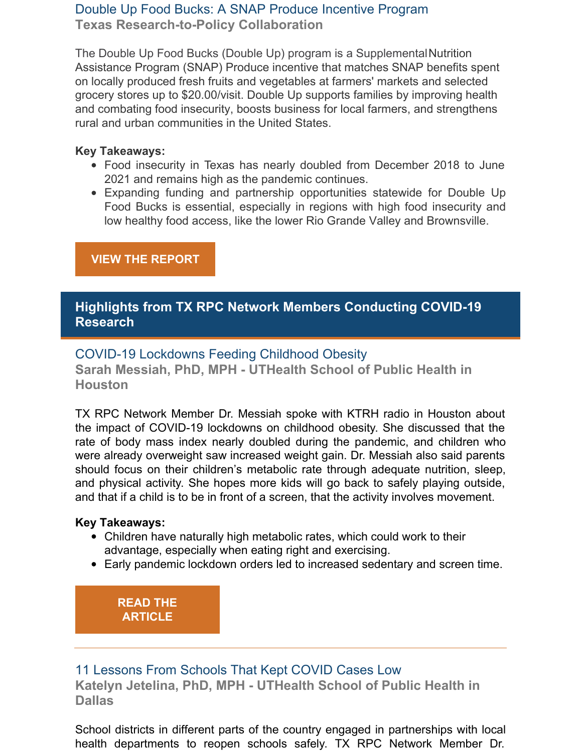## Double Up Food Bucks: A SNAP Produce Incentive Program **Texas Research-to-Policy Collaboration**

The Double Up Food Bucks (Double Up) program is a Supplemental Nutrition Assistance Program (SNAP) Produce incentive that matches SNAP benefits spent on locally produced fresh fruits and vegetables at farmers' markets and selected grocery stores up to \$20.00/visit. Double Up supports families by improving health and combating food insecurity, boosts business for local farmers, and strengthens rural and urban communities in the United States.

#### **Key Takeaways:**

- Food insecurity in Texas has nearly doubled from December 2018 to June 2021 and remains high as the pandemic continues.
- Expanding funding and partnership opportunities statewide for Double Up Food Bucks is essential, especially in regions with high food insecurity and low healthy food access, like the lower Rio Grande Valley and Brownsville.

## **VIEW THE [REPORT](https://sph.uth.edu/research/centers/dell/legislative-initiatives/Double Up Food Bucks Report.pdf)**

## **Highlights from TX RPC Network Members Conducting COVID-19 Research**

## COVID-19 Lockdowns Feeding Childhood Obesity

**Sarah Messiah, PhD, MPH - UTHealth School of Public Health in Houston**

TX RPC Network Member Dr. Messiah spoke with KTRH radio in Houston about the impact of COVID-19 lockdowns on childhood obesity. She discussed that the rate of body mass index nearly doubled during the pandemic, and children who were already overweight saw increased weight gain. Dr. Messiah also said parents should focus on their children's metabolic rate through adequate nutrition, sleep, and physical activity. She hopes more kids will go back to safely playing outside, and that if a child is to be in front of a screen, that the activity involves movement.

#### **Key Takeaways:**

- Children have naturally high metabolic rates, which could work to their advantage, especially when eating right and exercising.
- Early pandemic lockdown orders led to increased sedentary and screen time.

**READ THE [ARTICLE](https://www.houstonchronicle.com/news/houston-texas/health/article/how-to-talk-to-family-about-covid-vaccine-16360071.php)**

## 11 Lessons From Schools That Kept COVID Cases Low

**Katelyn Jetelina, PhD, MPH - UTHealth School of Public Health in Dallas**

School districts in different parts of the country engaged in partnerships with local health departments to reopen schools safely. TX RPC Network Member Dr.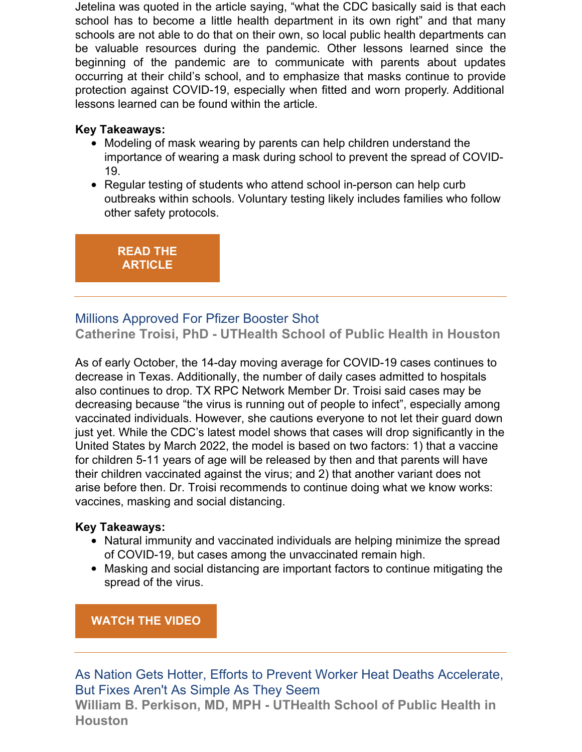Jetelina was quoted in the article saying, "what the CDC basically said is that each school has to become a little health department in its own right" and that many schools are not able to do that on their own, so local public health departments can be valuable resources during the pandemic. Other lessons learned since the beginning of the pandemic are to communicate with parents about updates occurring at their child's school, and to emphasize that masks continue to provide protection against COVID-19, especially when fitted and worn properly. Additional lessons learned can be found within the article.

#### **Key Takeaways:**

- Modeling of mask wearing by parents can help children understand the importance of wearing a mask during school to prevent the spread of COVID-19.
- Regular testing of students who attend school in-person can help curb outbreaks within schools. Voluntary testing likely includes families who follow other safety protocols.

**READ THE [ARTICLE](https://hechingerreport.org/11-lessons-from-schools-that-kept-covid-cases-low/)**

## Millions Approved For Pfizer Booster Shot

**Catherine Troisi, PhD - UTHealth School of Public Health in Houston**

As of early October, the 14-day moving average for COVID-19 cases continues to decrease in Texas. Additionally, the number of daily cases admitted to hospitals also continues to drop. TX RPC Network Member Dr. Troisi said cases may be decreasing because "the virus is running out of people to infect", especially among vaccinated individuals. However, she cautions everyone to not let their guard down just yet. While the CDC's latest model shows that cases will drop significantly in the United States by March 2022, the model is based on two factors: 1) that a vaccine for children 5-11 years of age will be released by then and that parents will have their children vaccinated against the virus; and 2) that another variant does not arise before then. Dr. Troisi recommends to continue doing what we know works: vaccines, masking and social distancing.

## **Key Takeaways:**

- Natural immunity and vaccinated individuals are helping minimize the spread of COVID-19, but cases among the unvaccinated remain high.
- Masking and social distancing are important factors to continue mitigating the spread of the virus.

**[WATCH](https://archive.tveyes.com/7313/meltwater/a0c4b116-7b3d-4be5-b0d9-09e75c743b82/KHOU_09-24-2021_22.16.22.mp4) THE VIDEO**

As Nation Gets Hotter, Efforts to Prevent Worker Heat Deaths Accelerate, But Fixes Aren't As Simple As They Seem

**William B. Perkison, MD, MPH - UTHealth School of Public Health in Houston**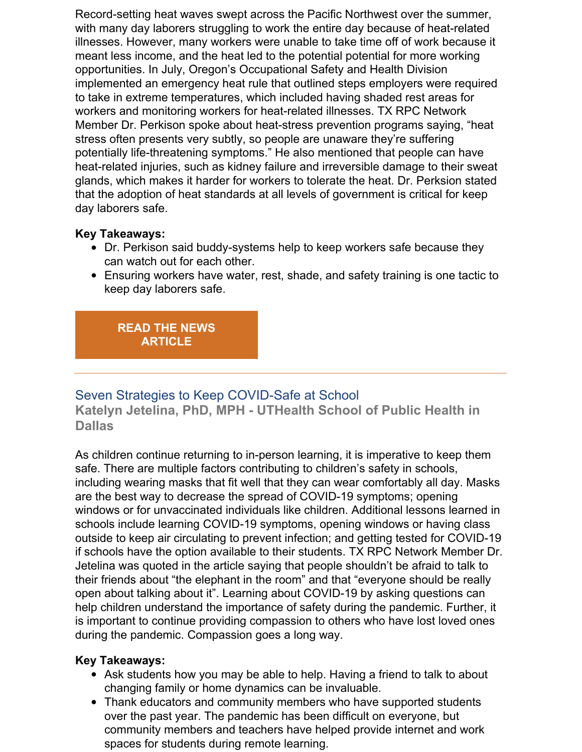Record-setting heat waves swept across the Pacific Northwest over the summer, with many day laborers struggling to work the entire day because of heat-related illnesses. However, many workers were unable to take time off of work because it meant less income, and the heat led to the potential potential for more working opportunities. In July, Oregon's Occupational Safety and Health Division implemented an emergency heat rule that outlined steps employers were required to take in extreme temperatures, which included having shaded rest areas for workers and monitoring workers for heat-related illnesses. TX RPC Network Member Dr. Perkison spoke about heat-stress prevention programs saying, "heat stress often presents very subtly, so people are unaware they're suffering potentially life-threatening symptoms." He also mentioned that people can have heat-related injuries, such as kidney failure and irreversible damage to their sweat glands, which makes it harder for workers to tolerate the heat. Dr. Perksion stated that the adoption of heat standards at all levels of government is critical for keep day laborers safe.

#### **Key Takeaways:**

- Dr. Perkison said buddy-systems help to keep workers safe because they can watch out for each other.
- Ensuring workers have water, rest, shade, and safety training is one tactic to keep day laborers safe.

#### **READ THE NEWS [ARTICLE](https://www.tpr.org/environment/2021-09-28/as-nation-gets-hotter-efforts-to-prevent-worker-heat-deaths-accelerate-but-fixes-arent-as-simple-as-they-seem)**

## Seven Strategies to Keep COVID-Safe at School

**Katelyn Jetelina, PhD, MPH - UTHealth School of Public Health in Dallas**

As children continue returning to in-person learning, it is imperative to keep them safe. There are multiple factors contributing to children's safety in schools, including wearing masks that fit well that they can wear comfortably all day. Masks are the best way to decrease the spread of COVID-19 symptoms; opening windows or for unvaccinated individuals like children. Additional lessons learned in schools include learning COVID-19 symptoms, opening windows or having class outside to keep air circulating to prevent infection; and getting tested for COVID-19 if schools have the option available to their students. TX RPC Network Member Dr. Jetelina was quoted in the article saying that people shouldn't be afraid to talk to their friends about "the elephant in the room" and that "everyone should be really open about talking about it". Learning about COVID-19 by asking questions can help children understand the importance of safety during the pandemic. Further, it is important to continue providing compassion to others who have lost loved ones during the pandemic. Compassion goes a long way.

#### **Key Takeaways:**

- Ask students how you may be able to help. Having a friend to talk to about changing family or home dynamics can be invaluable.
- Thank educators and community members who have supported students over the past year. The pandemic has been difficult on everyone, but community members and teachers have helped provide internet and work spaces for students during remote learning.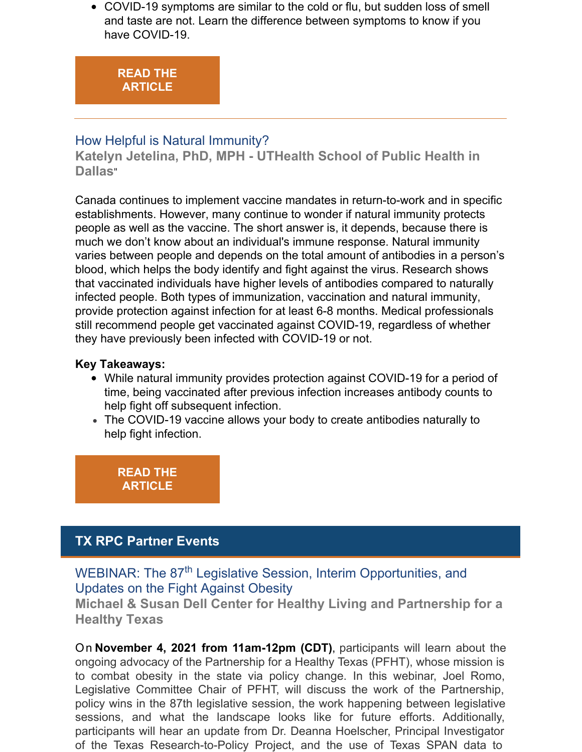COVID-19 symptoms are similar to the cold or flu, but sudden loss of smell and taste are not. Learn the difference between symptoms to know if you have COVID-19.

## **READ THE [ARTICLE](https://www.sciencenewsforstudents.org/article/seven-strategies-covid-19-safe-students-school)**

#### How Helpful is Natural Immunity?

**Katelyn Jetelina, PhD, MPH - UTHealth School of Public Health in Dallas**"

Canada continues to implement vaccine mandates in return-to-work and in specific establishments. However, many continue to wonder if natural immunity protects people as well as the vaccine. The short answer is, it depends, because there is much we don't know about an individual's immune response. Natural immunity varies between people and depends on the total amount of antibodies in a person's blood, which helps the body identify and fight against the virus. Research shows that vaccinated individuals have higher levels of antibodies compared to naturally infected people. Both types of immunization, vaccination and natural immunity, provide protection against infection for at least 6-8 months. Medical professionals still recommend people get vaccinated against COVID-19, regardless of whether they have previously been infected with COVID-19 or not.

#### **Key Takeaways:**

- While natural immunity provides protection against COVID-19 for a period of time, being vaccinated after previous infection increases antibody counts to help fight off subsequent infection.
- The COVID-19 vaccine allows your body to create antibodies naturally to help fight infection.

**READ THE [ARTICLE](https://ottawasun.com/diseases-and-conditions/coronavirus/covid-natural-immunity/wcm/3b4fd31d-2098-4932-8050-538ab297820a)**

# **TX RPC Partner Events**

WEBINAR: The 87<sup>th</sup> Legislative Session, Interim Opportunities, and Updates on the Fight Against Obesity

**Michael & Susan Dell Center for Healthy Living and Partnership for a Healthy Texas**

On **November 4, 2021 from 11am-12pm (CDT)**, participants will learn about the ongoing advocacy of the Partnership for a Healthy Texas (PFHT), whose mission is to combat obesity in the state via policy change. In this webinar, Joel Romo, Legislative Committee Chair of PFHT, will discuss the work of the Partnership, policy wins in the 87th legislative session, the work happening between legislative sessions, and what the landscape looks like for future efforts. Additionally, participants will hear an update from Dr. Deanna Hoelscher, Principal Investigator of the Texas Research-to-Policy Project, and the use of Texas SPAN data to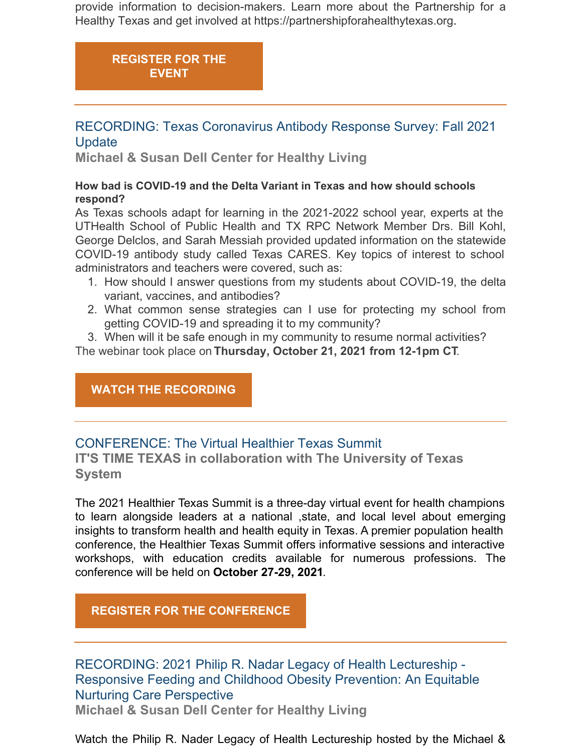provide information to decision-makers. Learn more about the Partnership for a Healthy Texas and get involved at https://partnershipforahealthytexas.org.

# **[REGISTER](https://register.gotowebinar.com/register/5788292520551377163?source=Email) FOR THE EVENT**

## RECORDING: Texas Coronavirus Antibody Response Survey: Fall 2021 **Update**

**Michael & Susan Dell Center for Healthy Living**

#### **How bad is COVID-19 and the Delta Variant in Texas and how should schools respond?**

As Texas schools adapt for learning in the 2021-2022 school year, experts at the UTHealth School of Public Health and TX RPC Network Member Drs. Bill Kohl, George Delclos, and Sarah Messiah provided updated information on the statewide COVID-19 antibody study called Texas CARES. Key topics of interest to school administrators and teachers were covered, such as:

- 1. How should I answer questions from my students about COVID-19, the delta variant, vaccines, and antibodies?
- 2. What common sense strategies can I use for protecting my school from getting COVID-19 and spreading it to my community?

3. When will it be safe enough in my community to resume normal activities? The webinar took place on **Thursday, October 21, 2021 from 12-1pm CT**.

#### **WATCH THE [RECORDING](https://sph.uth.edu/research/centers/dell/webinars/webinar.htm?id=6a76da7c-8898-47e8-b791-bdb5cac46aa7)**

## CONFERENCE: The Virtual Healthier Texas Summit

**IT'S TIME TEXAS in collaboration with The University of Texas System**

The 2021 Healthier Texas Summit is a three-day virtual event for health champions to learn alongside leaders at a national ,state, and local level about emerging insights to transform health and health equity in Texas. A premier population health conference, the Healthier Texas Summit offers informative sessions and interactive workshops, with education credits available for numerous professions. The conference will be held on **October 27-29, 2021**.

## **REGISTER FOR THE [CONFERENCE](https://www.eventbrite.com/e/healthier-texas-summit-registration-94670934313)**

RECORDING: 2021 Philip R. Nadar Legacy of Health Lectureship - Responsive Feeding and Childhood Obesity Prevention: An Equitable Nurturing Care Perspective **Michael & Susan Dell Center for Healthy Living**

Watch the Philip R. Nader Legacy of Health Lectureship hosted by the Michael &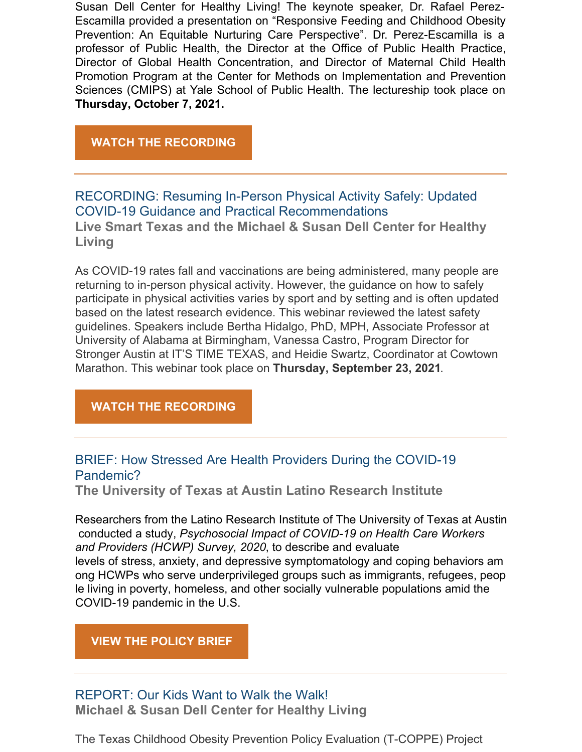Susan Dell Center for Healthy Living! The keynote speaker, Dr. Rafael Perez-Escamilla provided a presentation on "Responsive Feeding and Childhood Obesity Prevention: An Equitable Nurturing Care Perspective". Dr. Perez-Escamilla is a professor of Public Health, the Director at the Office of Public Health Practice, Director of Global Health Concentration, and Director of Maternal Child Health Promotion Program at the Center for Methods on Implementation and Prevention Sciences (CMIPS) at Yale School of Public Health. The lectureship took place on **Thursday, October 7, 2021.**

#### **WATCH THE [RECORDING](https://sph.uth.edu/research/centers/dell/nader-legacy-of-health-lectureship/)**

RECORDING: Resuming In-Person Physical Activity Safely: Updated COVID-19 Guidance and Practical Recommendations **Live Smart Texas and the Michael & Susan Dell Center for Healthy Living**

As COVID-19 rates fall and vaccinations are being administered, many people are returning to in-person physical activity. However, the guidance on how to safely participate in physical activities varies by sport and by setting and is often updated based on the latest research evidence. This webinar reviewed the latest safety guidelines. Speakers include Bertha Hidalgo, PhD, MPH, Associate Professor at University of Alabama at Birmingham, Vanessa Castro, Program Director for Stronger Austin at IT'S TIME TEXAS, and Heidie Swartz, Coordinator at Cowtown Marathon. This webinar took place on **Thursday, September 23, 2021**.

#### **WATCH THE [RECORDING](https://sph.uth.edu/research/centers/dell/webinars/webinar.htm?id=c6d0b671-0b59-48a1-84fe-8cae7e9c48a7)**

## BRIEF: How Stressed Are Health Providers During the COVID-19 Pandemic?

**The University of Texas at Austin Latino Research Institute**

Researchers from the Latino Research Institute of The University of Texas at Austin conducted a study, *Psychosocial Impact of COVID-19 on Health Care Workers and Providers (HCWP) Survey, 2020*, to describe and evaluate levels of stress, anxiety, and depressive symptomatology and coping behaviors am ong HCWPs who serve underprivileged groups such as immigrants, refugees, peop le living in poverty, homeless, and other socially vulnerable populations amid the COVID-19 pandemic in the U.S.

#### **VIEW THE [POLICY](https://utexas.app.box.com/s/4o745d2zkbk8clllsvpgzwy5mil7pe35) BRIEF**

## REPORT: Our Kids Want to Walk the Walk!

**Michael & Susan Dell Center for Healthy Living**

The Texas Childhood Obesity Prevention Policy Evaluation (T-COPPE) Project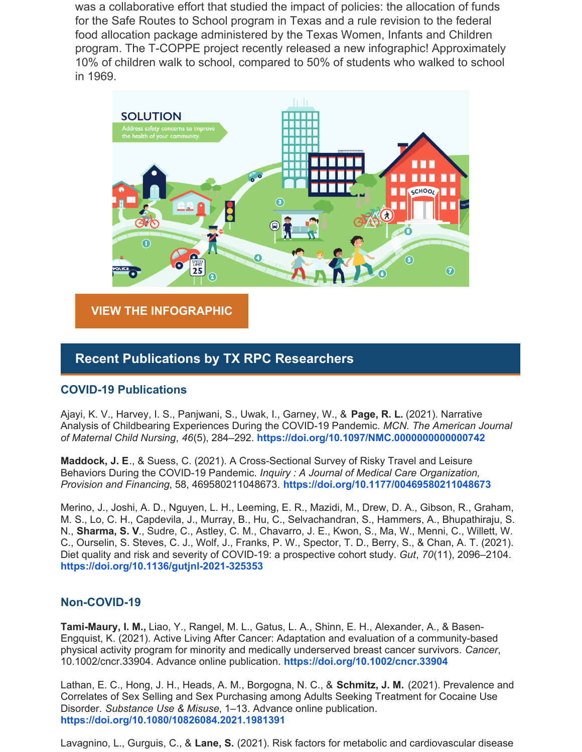was a collaborative effort that studied the impact of policies: the allocation of funds for the Safe Routes to School program in Texas and a rule revision to the federal food allocation package administered by the Texas Women, Infants and Children program. The T-COPPE project recently released a new infographic! Approximately 10% of children walk to school, compared to 50% of students who walked to school in 1969.



**VIEW THE [INFOGRAPHIC](https://sph.uth.edu/research/centers/dell/resources/tcoppe_kids-want-to-walk-infographic.pdf)**

#### **Recent Publications by TX RPC Researchers**

#### **COVID-19 Publications**

Ajayi, K. V., Harvey, I. S., Panjwani, S., Uwak, I., Garney, W., & **Page, R. L.** (2021). Narrative Analysis of Childbearing Experiences During the COVID-19 Pandemic. *MCN. The American Journal of Maternal Child Nursing*, *46*(5), 284–292. **<https://doi.org/10.1097/NMC.0000000000000742>**

**Maddock, J. E**., & Suess, C. (2021). A Cross-Sectional Survey of Risky Travel and Leisure Behaviors During the COVID-19 Pandemic. *Inquiry : A Journal of Medical Care Organization, Provision and Financing*, 58, 469580211048673. **<https://doi.org/10.1177/00469580211048673>**

Merino, J., Joshi, A. D., Nguyen, L. H., Leeming, E. R., Mazidi, M., Drew, D. A., Gibson, R., Graham, M. S., Lo, C. H., Capdevila, J., Murray, B., Hu, C., Selvachandran, S., Hammers, A., Bhupathiraju, S. N., **Sharma, S. V**., Sudre, C., Astley, C. M., Chavarro, J. E., Kwon, S., Ma, W., Menni, C., Willett, W. C., Ourselin, S. Steves, C. J., Wolf, J., Franks, P. W., Spector, T. D., Berry, S., & Chan, A. T. (2021). Diet quality and risk and severity of COVID-19: a prospective cohort study. *Gut*, *70*(11), 2096–2104. **<https://doi.org/10.1136/gutjnl-2021-325353>**

#### **Non-COVID-19**

**Tami-Maury, I. M.,** Liao, Y., Rangel, M. L., Gatus, L. A., Shinn, E. H., Alexander, A., & Basen-Engquist, K. (2021). Active Living After Cancer: Adaptation and evaluation of a community-based physical activity program for minority and medically underserved breast cancer survivors. *Cancer*, 10.1002/cncr.33904. Advance online publication. **<https://doi.org/10.1002/cncr.33904>**

Lathan, E. C., Hong, J. H., Heads, A. M., Borgogna, N. C., & **Schmitz, J. M.** (2021). Prevalence and Correlates of Sex Selling and Sex Purchasing among Adults Seeking Treatment for Cocaine Use Disorder. *Substance Use & Misuse*, 1–13. Advance online publication. **<https://doi.org/10.1080/10826084.2021.1981391>**

Lavagnino, L., Gurguis, C., & **Lane, S.** (2021). Risk factors for metabolic and cardiovascular disease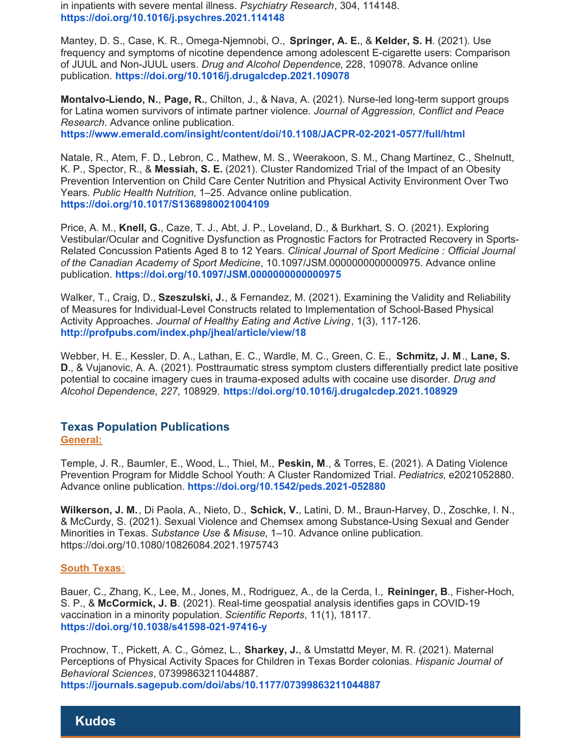in inpatients with severe mental illness. *Psychiatry Research*, 304, 114148. **<https://doi.org/10.1016/j.psychres.2021.114148>**

Mantey, D. S., Case, K. R., Omega-Njemnobi, O., **Springer, A. E.**, & **Kelder, S. H**. (2021). Use frequency and symptoms of nicotine dependence among adolescent E-cigarette users: Comparison of JUUL and Non-JUUL users. *Drug and Alcohol Dependence*, 228, 109078. Advance online publication. **<https://doi.org/10.1016/j.drugalcdep.2021.109078>**

**Montalvo-Liendo, N.**, **Page, R.**, Chilton, J., & Nava, A. (2021). Nurse-led long-term support groups for Latina women survivors of intimate partner violence. *Journal of Aggression, Conflict and Peace Research*. Advance online publication. **<https://www.emerald.com/insight/content/doi/10.1108/JACPR-02-2021-0577/full/html>**

Natale, R., Atem, F. D., Lebron, C., Mathew, M. S., Weerakoon, S. M., Chang Martinez, C., Shelnutt, K. P., Spector, R., & **Messiah, S. E.** (2021). Cluster Randomized Trial of the Impact of an Obesity Prevention Intervention on Child Care Center Nutrition and Physical Activity Environment Over Two Years. *Public Health Nutrition*, 1–25. Advance online publication. **<https://doi.org/10.1017/S1368980021004109>**

Price, A. M., **Knell, G.**, Caze, T. J., Abt, J. P., Loveland, D., & Burkhart, S. O. (2021). Exploring Vestibular/Ocular and Cognitive Dysfunction as Prognostic Factors for Protracted Recovery in Sports-Related Concussion Patients Aged 8 to 12 Years. *Clinical Journal of Sport Medicine : Official Journal of the Can[ad](https://doi.org/10.1097/JSM.0000000000000975)ian Academy of Sport Medicine*, 10.1097/JSM.0000000000000975. Advance online publication. **<https://doi.org/10.1097/JSM.0000000000000975>**

Walker, T., Craig, D., **Szeszulski, J.**, & Fernandez, M. (2021). Examining the Validity and Reliability of Measures for Individual-Level Constructs related to Implementation of School-Based Physical Activity Approaches. *Journal of Healthy Eating and Active Living*, 1(3), 117-126. **<http://profpubs.com/index.php/jheal/article/view/18>**

Webber, H. E., Kessler, D. A., Lathan, E. C., Wardle, M. C., Green, C. E., **Schmitz, J. M**., **Lane, S. D**., & Vujanovic, A. A. (2021). Posttraumatic stress symptom clusters differentially predict late positive potential to cocaine imagery cues in trauma-exposed adults with cocaine use disorder. *Drug and Alcohol Dependence*, *227*, 108929. **<https://doi.org/10.1016/j.drugalcdep.2021.108929>**

#### **Texas Population Publications General:**

Temple, J. R., Baumler, E., Wood, L., Thiel, M., **Peskin, M**., & Torres, E. (2021). A Dating Violence Prevention Program for Middle School Youth: A Cluster Randomized Trial. *Pediatrics*, e2021052880. Advance online publication. **<https://doi.org/10.1542/peds.2021-052880>**

**Wilkerson, J. M.**, Di Paola, A., Nieto, D., **Schick, V.**, Latini, D. M., Braun-Harvey, D., Zoschke, I. N., & McCurdy, S. (2021). Sexual Violence and Chemsex among Substance-Using Sexual and Gender Minorities in Texas. *Substance Use & Misuse*, 1–10. Advance online publication. https://doi.org/10.1080/10826084.2021.1975743

#### **South Texas**:

Bauer, C., Zhang, K., Lee, M., Jones, M., Rodriguez, A., de la Cerda, I., **Reininger, B**., Fisher-Hoch, S. P., & **McCormick, J. B**. (2021). Real-time geospatial analysis identifies gaps in COVID-19 vaccination in a minority population. *Scientific Reports*, 11(1), 18117. **<https://doi.org/10.1038/s41598-021-97416-y>**

Prochnow, T., Pickett, A. C., Gómez, L., **Sharkey, J.**, & Umstattd Meyer, M. R. (2021). Maternal Perceptions of Physical Activity Spaces for Children in Texas Border colonias. *Hispanic Journal of Behavioral Sciences*, 07399863211044887. **<https://journals.sagepub.com/doi/abs/10.1177/07399863211044887>**

#### **Kudos**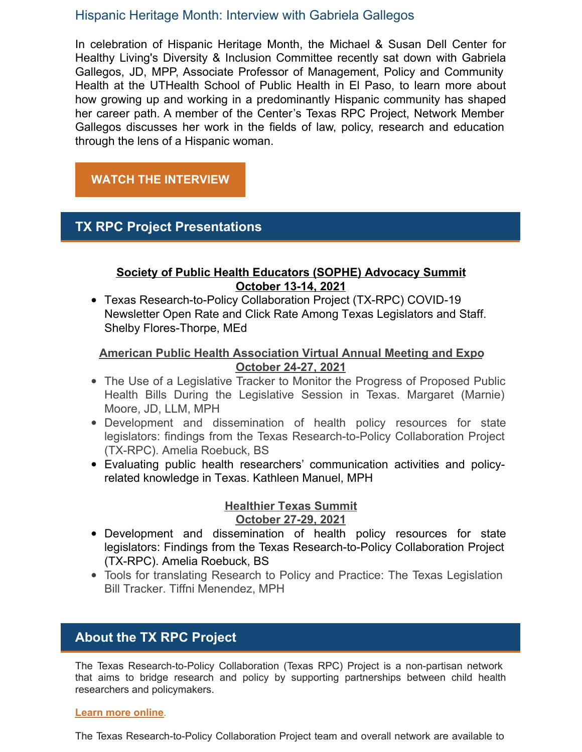#### Hispanic Heritage Month: Interview with Gabriela Gallegos

In celebration of Hispanic Heritage Month, the Michael & Susan Dell Center for Healthy Living's Diversity & Inclusion Committee recently sat down with Gabriela Gallegos, JD, MPP, Associate Professor of Management, Policy and Community Health at the UTHealth School of Public Health in El Paso, to learn more about how growing up and working in a predominantly Hispanic community has shaped her career path. A member of the Center's Texas RPC Project, Network Member Gallegos discusses her work in the fields of law, policy, research and education through the lens of a Hispanic woman.

#### **WATCH THE [INTERVIEW](https://sph.uth.edu/research/centers/dell/blog/posting.htm?s=Hispanic-Heritage-Month-Interview-with-Gallegos)**

## **TX RPC Project Presentations**

#### **Society of Public Health Educators (SOPHE) Advocacy Summit October 13-14, 2021**

Texas Research-to-Policy Collaboration Project (TX-RPC) COVID-19 Newsletter Open Rate and Click Rate Among Texas Legislators and Staff. Shelby Flores-Thorpe, MEd

#### **American Public Health Association Virtual Annual Meeting and Expo October 24-27, 2021**

- The Use of a Legislative Tracker to Monitor the Progress of Proposed Public Health Bills During the Legislative Session in Texas. Margaret (Marnie) Moore, JD, LLM, MPH
- Development and dissemination of health policy resources for state legislators: findings from the Texas Research-to-Policy Collaboration Project (TX-RPC). Amelia Roebuck, BS
- Evaluating public health researchers' communication activities and policyrelated knowledge in Texas. Kathleen Manuel, MPH

#### **Healthier Texas Summit October 27-29, 2021**

- Development and dissemination of health policy resources for state legislators: Findings from the Texas Research-to-Policy Collaboration Project (TX-RPC). Amelia Roebuck, BS
- Tools for translating Research to Policy and Practice: The Texas Legislation Bill Tracker. Tiffni Menendez, MPH

## **About the TX RPC Project**

The Texas Research-to-Policy Collaboration (Texas RPC) Project is a non-partisan network that aims to bridge research and policy by supporting partnerships between child health researchers and policymakers.

#### **Learn more [online](https://sph.uth.edu/research/centers/dell/legislative-initiatives/research-to-policy-collaboration-project)**.

The Texas Research-to-Policy Collaboration Project team and overall network are available to